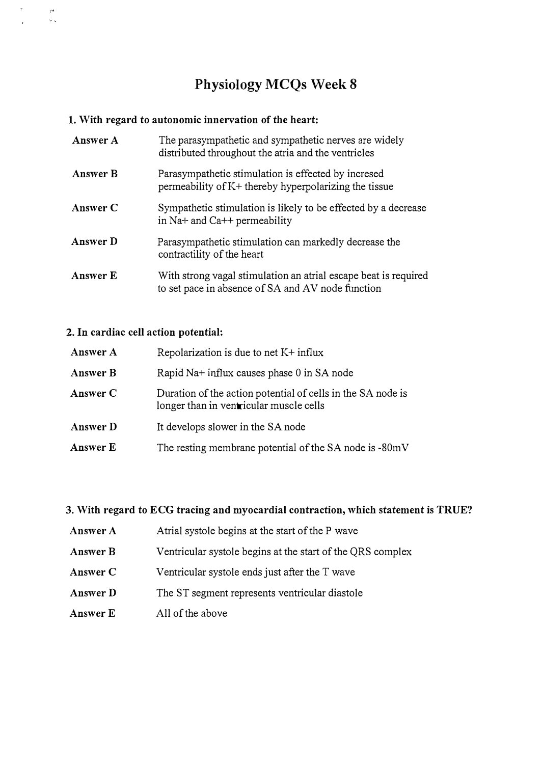# Physiology MCQs Week 8

#### 1. With regard to autonomic innervation of the heart:

| Answer A        | The parasympathetic and sympathetic nerves are widely<br>distributed throughout the atria and the ventricles         |
|-----------------|----------------------------------------------------------------------------------------------------------------------|
| <b>Answer B</b> | Parasympathetic stimulation is effected by incresed<br>permeability of K+ thereby hyperpolarizing the tissue         |
| Answer C        | Sympathetic stimulation is likely to be effected by a decrease<br>in Na+ and Ca++ permeability                       |
| Answer D        | Parasympathetic stimulation can markedly decrease the<br>contractility of the heart                                  |
| Answer E        | With strong vagal stimulation an atrial escape beat is required<br>to set pace in absence of SA and AV node function |

#### 2. In cardiac cell action potential:

 $\dot{r}$ 

 $\bar{\rho}$  $\hat{\epsilon}_{\rm sky}$ 

| Answer A | Repolarization is due to net $K^+$ influx                                                              |
|----------|--------------------------------------------------------------------------------------------------------|
| Answer B | Rapid Na+ influx causes phase 0 in SA node                                                             |
| Answer C | Duration of the action potential of cells in the SA node is<br>longer than in ventricular muscle cells |
| Answer D | It develops slower in the SA node                                                                      |
| Answer E | The resting membrane potential of the SA node is -80mV                                                 |

#### 3. With regard to ECG tracing and myocardial contraction, which statement is TRUE?

- Answer A Atrial systole begins at the start of the P wave
- Answer B Ventricular systole begins at the start of the QRS complex
- AnswerC Ventricular systole ends just after the T wave
- AnswerD The ST segment represents ventricular diastole
- Answer E All of the above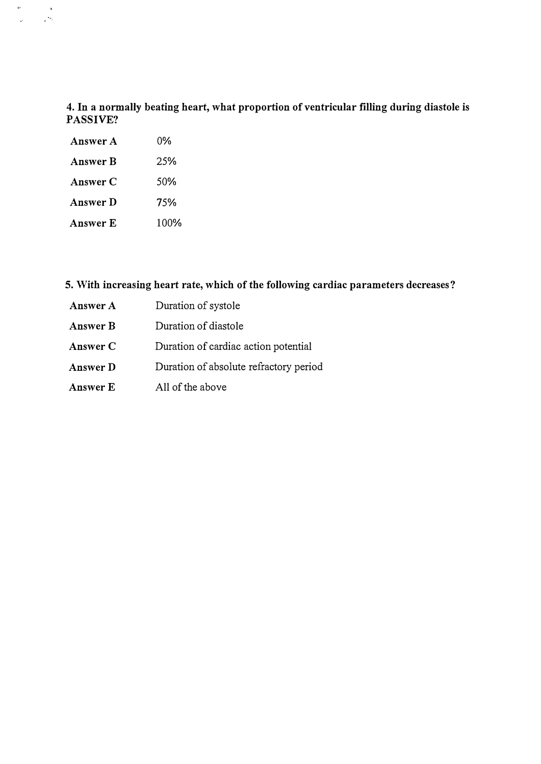### 4. In a normally beating heart, what proportion of ventricular filling during diastole is PASSIVE?

| Answer A        | $0\%$            |
|-----------------|------------------|
| <b>Answer B</b> | 25%              |
| Answer C        | .50 <sub>%</sub> |
| Answer D        | 75%              |
| Answer E        | 100%             |

 $\sim$ 

 $\sim$  $\label{eq:2.1} \frac{1}{\sqrt{2\pi}}\sum_{i=1}^n\frac{1}{\sqrt{2\pi}}\int_0^1\frac{1}{\sqrt{2\pi}}\left(\frac{1}{\sqrt{2\pi}}\right)^2\frac{1}{\sqrt{2\pi}}\int_0^1\frac{1}{\sqrt{2\pi}}\left(\frac{1}{\sqrt{2\pi}}\right)^2\frac{1}{\sqrt{2\pi}}\frac{1}{\sqrt{2\pi}}\frac{1}{\sqrt{2\pi}}\frac{1}{\sqrt{2\pi}}\frac{1}{\sqrt{2\pi}}\frac{1}{\sqrt{2\pi}}\frac{1}{\sqrt{2\pi}}\frac{1}{\sqrt{2\$ 

## 5. With increasing heart rate, which of the following cardiac parameters decreases?

| Answer A | Duration of systole                    |
|----------|----------------------------------------|
| Answer B | Duration of diastole                   |
| Answer C | Duration of cardiac action potential   |
| Answer D | Duration of absolute refractory period |
| Answer E | All of the above                       |